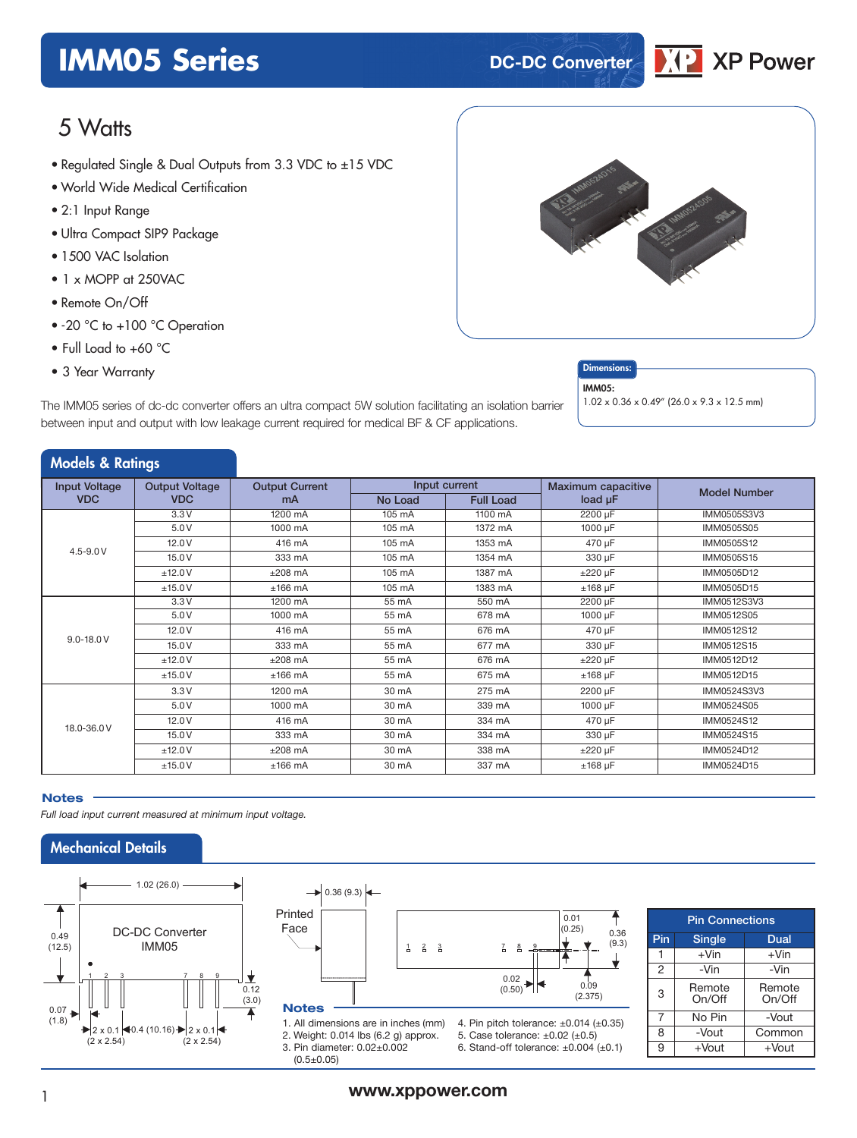# **IMM05 Series DC-DC Converter**



# 5 Watts

- Regulated Single & Dual Outputs from 3.3 VDC to ±1*5* VDC
- World Wide Medical Certification
- 2:1 Input Range
- Ultra Compact SIP9 Package
- 1500 VAC Isolation
- 1 x MOPP at 250VAC
- Remote On/Off
- -20 °C to +100 °C Operation
- Full Load to +60 °C
- 3 Year Warranty **Dimensions:**



The IMM05 series of dc-dc converter offers an ultra compact 5W solution facilitating an isolation barrier between input and output with low leakage current required for medical BF & CF applications.

IMM05:

1.02 x 0.36 x 0.49" (26.0 x 9.3 x 12.5 mm)

# Models & Ratings

| <b>Input Voltage</b> | Input current<br><b>Output Voltage</b><br><b>Output Current</b> |           |         | Maximum capacitive | <b>Model Number</b> |             |
|----------------------|-----------------------------------------------------------------|-----------|---------|--------------------|---------------------|-------------|
| <b>VDC</b>           | <b>VDC</b>                                                      | <b>mA</b> | No Load | <b>Full Load</b>   | load µF             |             |
|                      | 3.3V                                                            | 1200 mA   | 105 mA  | 1100 mA            | 2200 µF             | IMM0505S3V3 |
|                      | 5.0V                                                            | 1000 mA   | 105 mA  | 1372 mA            | 1000 µF             | IMM0505S05  |
|                      | 12.0V                                                           | 416 mA    | 105 mA  | 1353 mA            | 470 µF              | IMM0505S12  |
| $4.5 - 9.0 V$        | 15.0V                                                           | 333 mA    | 105 mA  | 1354 mA            | 330 µF              | IMM0505S15  |
|                      | ±12.0V                                                          | $±208$ mA | 105 mA  | 1387 mA            | $±220 \mu F$        | IMM0505D12  |
|                      | ±15.0V                                                          | $±166$ mA | 105 mA  | 1383 mA            | $±168$ µF           | IMM0505D15  |
|                      | 3.3V                                                            | 1200 mA   | 55 mA   | 550 mA             | 2200 µF             | IMM0512S3V3 |
| $9.0 - 18.0 V$       | 5.0V                                                            | 1000 mA   | 55 mA   | 678 mA             | 1000 µF             | IMM0512S05  |
|                      | 12.0V                                                           | 416 mA    | 55 mA   | 676 mA             | 470 µF              | IMM0512S12  |
|                      | 15.0 V                                                          | 333 mA    | 55 mA   | 677 mA             | 330 µF              | IMM0512S15  |
|                      | ±12.0V                                                          | $±208$ mA | 55 mA   | 676 mA             | $±220 \mu F$        | IMM0512D12  |
|                      | ±15.0V                                                          | $±166$ mA | 55 mA   | 675 mA             | $±168$ µF           | IMM0512D15  |
|                      | 3.3V                                                            | 1200 mA   | 30 mA   | 275 mA             | 2200 µF             | IMM0524S3V3 |
|                      | 5.0V                                                            | 1000 mA   | 30 mA   | 339 mA             | 1000 µF             | IMM0524S05  |
| 18.0-36.0V           | 12.0V                                                           | 416 mA    | 30 mA   | 334 mA             | 470 µF              | IMM0524S12  |
|                      | 15.0 V                                                          | 333 mA    | 30 mA   | 334 mA             | 330 µF              | IMM0524S15  |
|                      | ±12.0V                                                          | $±208$ mA | 30 mA   | 338 mA             | $±220 \mu F$        | IMM0524D12  |
|                      | ±15.0V                                                          | $±166$ mA | 30 mA   | 337 mA             | $±168$ µF           | IMM0524D15  |

### **Notes**

*Full load input current measured at minimum input voltage.*

# Mechanical Details





| <b>Pin Connections</b> |                  |                  |  |  |  |
|------------------------|------------------|------------------|--|--|--|
| Pin                    | <b>Single</b>    | Dual             |  |  |  |
| 1                      | $+V$ in          | $+V$ in          |  |  |  |
| $\overline{2}$         | -Vin             | -Vin             |  |  |  |
| 3                      | Remote<br>On/Off | Remote<br>On/Off |  |  |  |
| 7                      | No Pin           | -Vout            |  |  |  |
| 8                      | -Vout            | Common           |  |  |  |
| 9                      | +Vout            | $+$ Vout         |  |  |  |

0.36 (9.3)

♦

↑

## <sup>1</sup> **www.xppower.com**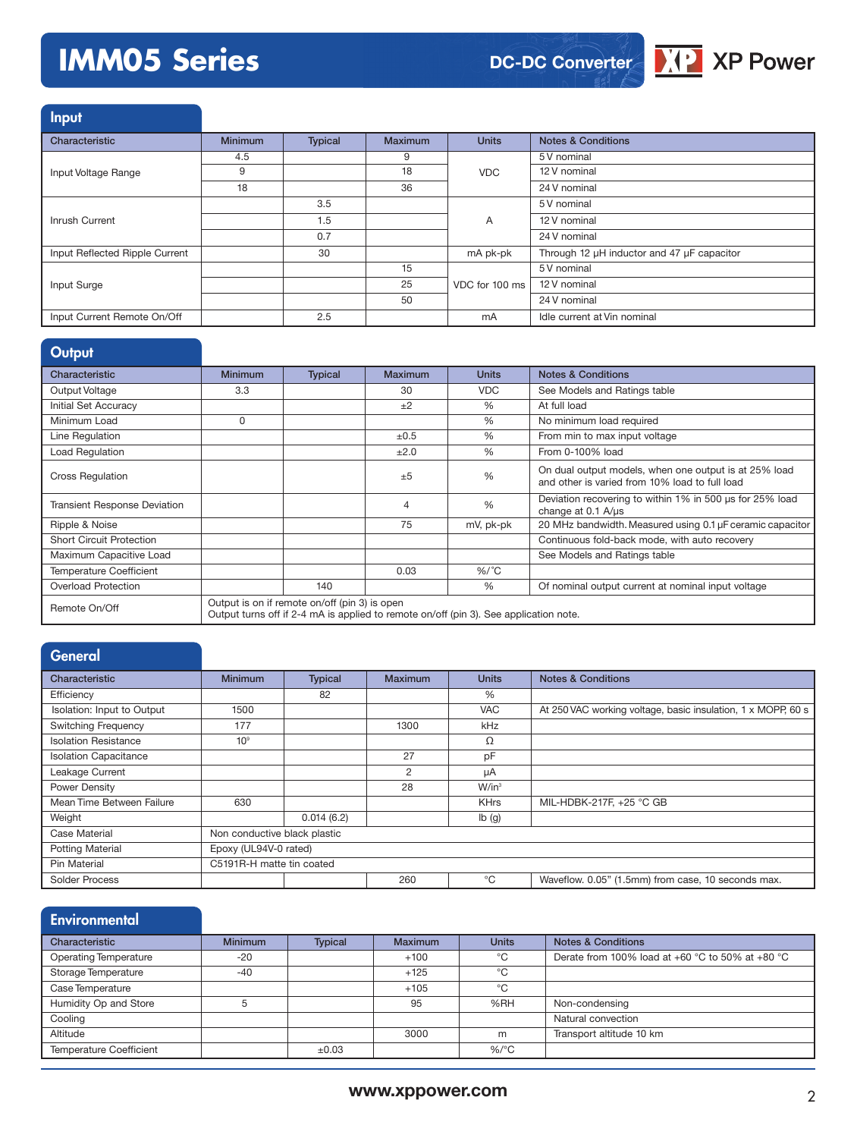# **IMM05 Series**



**Input** 

| Characteristic                 | <b>Minimum</b> | <b>Typical</b> | Maximum | <b>Units</b>   | <b>Notes &amp; Conditions</b>              |
|--------------------------------|----------------|----------------|---------|----------------|--------------------------------------------|
|                                | 4.5            |                | 9       |                | 5 V nominal                                |
| Input Voltage Range            | 9              |                | 18      | <b>VDC</b>     | 12 V nominal                               |
|                                | 18             |                | 36      |                | 24 V nominal                               |
|                                |                | 3.5            |         |                | 5 V nominal                                |
| Inrush Current                 |                | 1.5            |         | A              | 12 V nominal                               |
|                                |                | 0.7            |         |                | 24 V nominal                               |
| Input Reflected Ripple Current |                | 30             |         | mA pk-pk       | Through 12 µH inductor and 47 µF capacitor |
|                                |                |                | 15      |                | 5 V nominal                                |
| Input Surge                    |                |                | 25      | VDC for 100 ms | 12 V nominal                               |
|                                |                |                | 50      |                | 24 V nominal                               |
| Input Current Remote On/Off    |                | 2.5            |         | mA             | Idle current at Vin nominal                |

|  | Output |
|--|--------|
|  |        |
|  |        |

| _____                               |                |                                               |                                                                                       |               |                                                                                                         |
|-------------------------------------|----------------|-----------------------------------------------|---------------------------------------------------------------------------------------|---------------|---------------------------------------------------------------------------------------------------------|
| Characteristic                      | <b>Minimum</b> | <b>Typical</b>                                | <b>Maximum</b>                                                                        | <b>Units</b>  | <b>Notes &amp; Conditions</b>                                                                           |
| Output Voltage                      | 3.3            |                                               | 30                                                                                    | <b>VDC</b>    | See Models and Ratings table                                                                            |
| Initial Set Accuracy                |                |                                               | ±2                                                                                    | $\%$          | At full load                                                                                            |
| Minimum Load                        | $\Omega$       |                                               |                                                                                       | $\frac{0}{0}$ | No minimum load required                                                                                |
| Line Regulation                     |                |                                               | ±0.5                                                                                  | $\%$          | From min to max input voltage                                                                           |
| <b>Load Regulation</b>              |                |                                               | ±2.0                                                                                  | %             | From 0-100% load                                                                                        |
| <b>Cross Regulation</b>             |                |                                               | ±5                                                                                    | %             | On dual output models, when one output is at 25% load<br>and other is varied from 10% load to full load |
| <b>Transient Response Deviation</b> |                |                                               | $\overline{4}$                                                                        | %             | Deviation recovering to within 1% in 500 us for 25% load<br>change at $0.1 \text{ A/}\mu\text{s}$       |
| Ripple & Noise                      |                |                                               | 75                                                                                    | mV, pk-pk     | 20 MHz bandwidth. Measured using 0.1 µF ceramic capacitor                                               |
| <b>Short Circuit Protection</b>     |                |                                               |                                                                                       |               | Continuous fold-back mode, with auto recovery                                                           |
| Maximum Capacitive Load             |                |                                               |                                                                                       |               | See Models and Ratings table                                                                            |
| <b>Temperature Coefficient</b>      |                |                                               | 0.03                                                                                  | $%$ /°C       |                                                                                                         |
| <b>Overload Protection</b>          |                | 140                                           |                                                                                       | $\%$          | Of nominal output current at nominal input voltage                                                      |
| Remote On/Off                       |                | Output is on if remote on/off (pin 3) is open | Output turns off if 2-4 mA is applied to remote on/off (pin 3). See application note. |               |                                                                                                         |

| General                      |                              |                |         |              |                                                              |  |
|------------------------------|------------------------------|----------------|---------|--------------|--------------------------------------------------------------|--|
| Characteristic               | <b>Minimum</b>               | <b>Typical</b> | Maximum | <b>Units</b> | <b>Notes &amp; Conditions</b>                                |  |
| Efficiency                   |                              | 82             |         | %            |                                                              |  |
| Isolation: Input to Output   | 1500                         |                |         | <b>VAC</b>   | At 250 VAC working voltage, basic insulation, 1 x MOPP, 60 s |  |
| <b>Switching Frequency</b>   | 177                          |                | 1300    | kHz          |                                                              |  |
| <b>Isolation Resistance</b>  | 10 <sup>9</sup>              |                |         | Ω            |                                                              |  |
| <b>Isolation Capacitance</b> |                              |                | 27      | pF           |                                                              |  |
| Leakage Current              |                              |                | 2       | uA           |                                                              |  |
| Power Density                |                              |                | 28      | $W/in^3$     |                                                              |  |
| Mean Time Between Failure    | 630                          |                |         | <b>KHrs</b>  | MIL-HDBK-217F, +25 °C GB                                     |  |
| Weight                       |                              | 0.014(6.2)     |         | lb(g)        |                                                              |  |
| Case Material                | Non conductive black plastic |                |         |              |                                                              |  |
| <b>Potting Material</b>      | Epoxy (UL94V-0 rated)        |                |         |              |                                                              |  |
| Pin Material                 | C5191R-H matte tin coated    |                |         |              |                                                              |  |
| Solder Process               |                              |                | 260     | °C           | Waveflow. 0.05" (1.5mm) from case, 10 seconds max.           |  |

## **Environmental**

| Characteristic                 | <b>Minimum</b> | <b>Typical</b> | <b>Maximum</b> | <b>Units</b>    | <b>Notes &amp; Conditions</b>                    |
|--------------------------------|----------------|----------------|----------------|-----------------|--------------------------------------------------|
| <b>Operating Temperature</b>   | $-20$          |                | $+100$         | °C              | Derate from 100% load at +60 °C to 50% at +80 °C |
| Storage Temperature            | $-40$          |                | $+125$         | $^{\circ}$ C    |                                                  |
| Case Temperature               |                |                | $+105$         | °C              |                                                  |
| Humidity Op and Store          |                |                | 95             | %RH             | Non-condensing                                   |
| Cooling                        |                |                |                |                 | Natural convection                               |
| Altitude                       |                |                | 3000           | m               | Transport altitude 10 km                         |
| <b>Temperature Coefficient</b> |                | $\pm 0.03$     |                | %/ $^{\circ}$ C |                                                  |